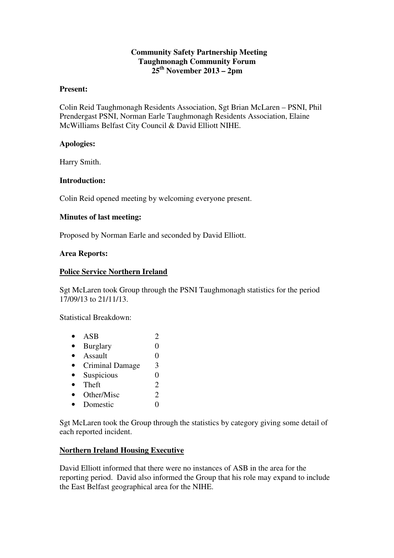## **Community Safety Partnership Meeting Taughmonagh Community Forum 25th November 2013 – 2pm**

#### **Present:**

Colin Reid Taughmonagh Residents Association, Sgt Brian McLaren – PSNI, Phil Prendergast PSNI, Norman Earle Taughmonagh Residents Association, Elaine McWilliams Belfast City Council & David Elliott NIHE.

## **Apologies:**

Harry Smith.

## **Introduction:**

Colin Reid opened meeting by welcoming everyone present.

## **Minutes of last meeting:**

Proposed by Norman Earle and seconded by David Elliott.

## **Area Reports:**

## **Police Service Northern Ireland**

Sgt McLaren took Group through the PSNI Taughmonagh statistics for the period 17/09/13 to 21/11/13.

Statistical Breakdown:

•  $ASB$  2 • Burglary 0 • Assault  $\qquad \qquad 0$ • Criminal Damage 3 • Suspicious 0 • Theft  $2$ • Other/Misc 2 • Domestic 0

Sgt McLaren took the Group through the statistics by category giving some detail of each reported incident.

## **Northern Ireland Housing Executive**

David Elliott informed that there were no instances of ASB in the area for the reporting period. David also informed the Group that his role may expand to include the East Belfast geographical area for the NIHE.